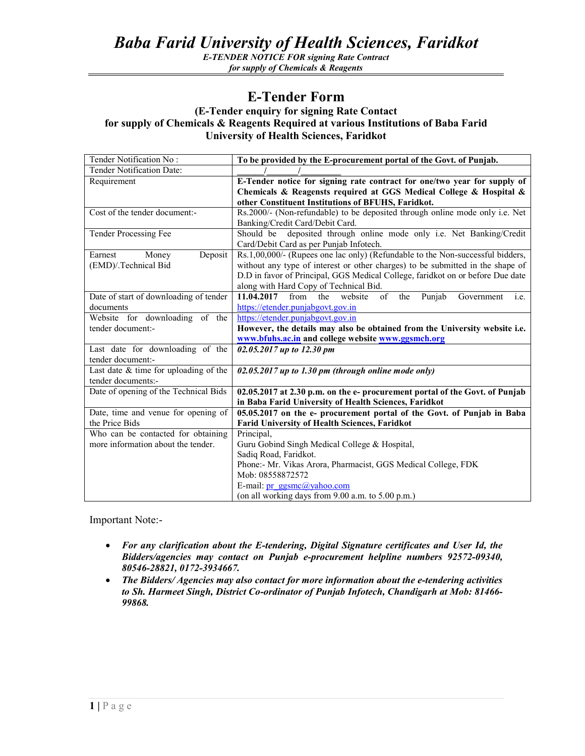## *Baba Farid University of Health Sciences, Faridkot*

*E-TENDER NOTICE FOR signing Rate Contract for supply of Chemicals & Reagents* 

## **E-Tender Form**

## **(E-Tender enquiry for signing Rate Contact for supply of Chemicals & Reagents Required at various Institutions of Baba Farid University of Health Sciences, Faridkot**

| Tender Notification No:                 | To be provided by the E-procurement portal of the Govt. of Punjab.                             |
|-----------------------------------------|------------------------------------------------------------------------------------------------|
| Tender Notification Date:               |                                                                                                |
| Requirement                             | E-Tender notice for signing rate contract for one/two year for supply of                       |
|                                         | Chemicals & Reagensts required at GGS Medical College & Hospital &                             |
|                                         | other Constituent Institutions of BFUHS, Faridkot.                                             |
| Cost of the tender document:-           | Rs.2000/- (Non-refundable) to be deposited through online mode only i.e. Net                   |
|                                         | Banking/Credit Card/Debit Card.                                                                |
| Tender Processing Fee                   | deposited through online mode only i.e. Net Banking/Credit<br>Should be                        |
|                                         | Card/Debit Card as per Punjab Infotech.                                                        |
| Deposit<br>Earnest<br>Money             | Rs.1,00,000/- (Rupees one lac only) (Refundable to the Non-successful bidders,                 |
| (EMD)/.Technical Bid                    | without any type of interest or other charges) to be submitted in the shape of                 |
|                                         | D.D in favor of Principal, GGS Medical College, faridkot on or before Due date                 |
|                                         | along with Hard Copy of Technical Bid.                                                         |
| Date of start of downloading of tender  | $\overline{of}$<br>11.04.2017<br>from<br>the<br>website<br>Punjab<br>the<br>Government<br>i.e. |
| documents                               | https://etender.punjabgovt.gov.in                                                              |
| Website for downloading of the          | https://etender.punjabgovt.gov.in                                                              |
| tender document:-                       | However, the details may also be obtained from the University website i.e.                     |
|                                         | www.bfuhs.ac.in and college website www.ggsmch.org                                             |
| Last date for downloading of the        | 02.05.2017 up to 12.30 pm                                                                      |
| tender document:-                       |                                                                                                |
| Last date $&$ time for uploading of the | $02.05.2017$ up to 1.30 pm (through online mode only)                                          |
| tender documents:-                      |                                                                                                |
| Date of opening of the Technical Bids   | 02.05.2017 at 2.30 p.m. on the e- procurement portal of the Govt. of Punjab                    |
|                                         | in Baba Farid University of Health Sciences, Faridkot                                          |
| Date, time and venue for opening of     | 05.05.2017 on the e- procurement portal of the Govt. of Punjab in Baba                         |
| the Price Bids                          | <b>Farid University of Health Sciences, Faridkot</b>                                           |
| Who can be contacted for obtaining      | Principal,                                                                                     |
| more information about the tender.      | Guru Gobind Singh Medical College & Hospital,                                                  |
|                                         | Sadiq Road, Faridkot.                                                                          |
|                                         | Phone:- Mr. Vikas Arora, Pharmacist, GGS Medical College, FDK                                  |
|                                         | Mob: 08558872572                                                                               |
|                                         | E-mail: $pr$ ggsmc@yahoo.com                                                                   |
|                                         | (on all working days from 9.00 a.m. to 5.00 p.m.)                                              |

Important Note:-

- *For any clarification about the E-tendering, Digital Signature certificates and User Id, the Bidders/agencies may contact on Punjab e-procurement helpline numbers 92572-09340, 80546-28821, 0172-3934667.*
- *The Bidders/ Agencies may also contact for more information about the e-tendering activities to Sh. Harmeet Singh, District Co-ordinator of Punjab Infotech, Chandigarh at Mob: 81466- 99868.*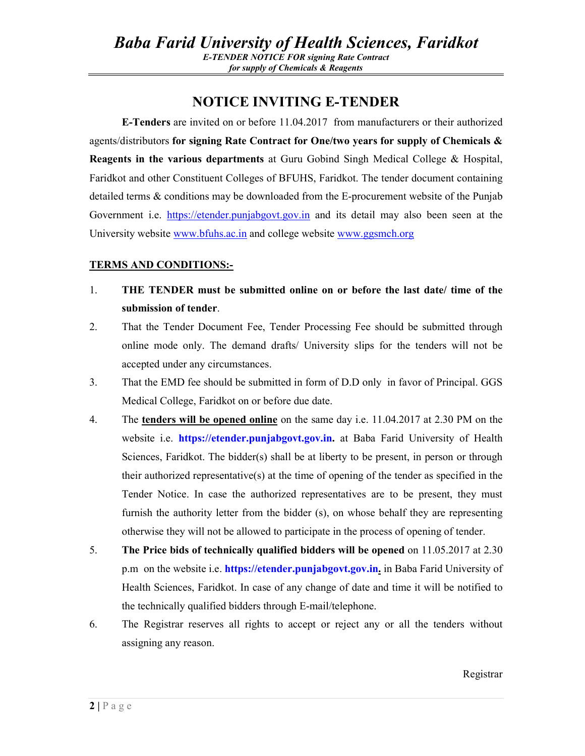## **NOTICE INVITING E-TENDER**

**E-Tenders** are invited on or before 11.04.2017 from manufacturers or their authorized agents/distributors **for signing Rate Contract for One/two years for supply of Chemicals & Reagents in the various departments** at Guru Gobind Singh Medical College & Hospital, Faridkot and other Constituent Colleges of BFUHS, Faridkot. The tender document containing detailed terms & conditions may be downloaded from the E-procurement website of the Punjab Government i.e. https://etender.punjabgovt.gov.in and its detail may also been seen at the University website www.bfuhs.ac.in and college website www.ggsmch.org

## **TERMS AND CONDITIONS:-**

- 1. **THE TENDER must be submitted online on or before the last date/ time of the submission of tender**.
- 2. That the Tender Document Fee, Tender Processing Fee should be submitted through online mode only. The demand drafts/ University slips for the tenders will not be accepted under any circumstances.
- 3. That the EMD fee should be submitted in form of D.D only in favor of Principal. GGS Medical College, Faridkot on or before due date.
- 4. The **tenders will be opened online** on the same day i.e. 11.04.2017 at 2.30 PM on the website i.e. **https://etender.punjabgovt.gov.in.** at Baba Farid University of Health Sciences, Faridkot. The bidder(s) shall be at liberty to be present, in person or through their authorized representative(s) at the time of opening of the tender as specified in the Tender Notice. In case the authorized representatives are to be present, they must furnish the authority letter from the bidder (s), on whose behalf they are representing otherwise they will not be allowed to participate in the process of opening of tender.
- 5. **The Price bids of technically qualified bidders will be opened** on 11.05.2017 at 2.30 p.m on the website i.e. **https://etender.punjabgovt.gov.in.** in Baba Farid University of Health Sciences, Faridkot. In case of any change of date and time it will be notified to the technically qualified bidders through E-mail/telephone.
- 6. The Registrar reserves all rights to accept or reject any or all the tenders without assigning any reason.

Registrar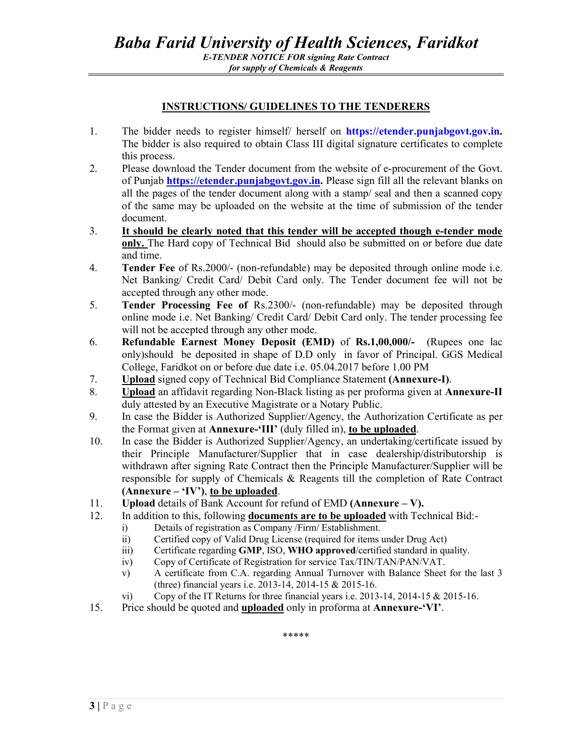#### **INSTRUCTIONS/ GUIDELINES TO THE TENDERERS**

- 1. The bidder needs to register himself/ herself on **https://etender.punjabgovt.gov.in.**  The bidder is also required to obtain Class III digital signature certificates to complete this process.
- 2. Please download the Tender document from the website of e-procurement of the Govt. of Punjab **https://etender.punjabgovt.gov.in.** Please sign fill all the relevant blanks on all the pages of the tender document along with a stamp/ seal and then a scanned copy of the same may be uploaded on the website at the time of submission of the tender document.
- 3. **It should be clearly noted that this tender will be accepted though e-tender mode only.** The Hard copy of Technical Bid should also be submitted on or before due date and time.
- 4. **Tender Fee** of Rs.2000/- (non-refundable) may be deposited through online mode i.e. Net Banking/ Credit Card/ Debit Card only. The Tender document fee will not be accepted through any other mode.
- 5. **Tender Processing Fee of** Rs.2300/- (non-refundable) may be deposited through online mode i.e. Net Banking/ Credit Card/ Debit Card only. The tender processing fee will not be accepted through any other mode.
- 6. **Refundable Earnest Money Deposit (EMD)** of **Rs.1,00,000/-** (Rupees one lac only)should be deposited in shape of D.D only in favor of Principal. GGS Medical College, Faridkot on or before due date i.e. 05.04.2017 before 1.00 PM
- 7. **Upload** signed copy of Technical Bid Compliance Statement **(Annexure-I)**.
- 8. **Upload** an affidavit regarding Non-Black listing as per proforma given at **Annexure-II**  duly attested by an Executive Magistrate or a Notary Public.
- 9. In case the Bidder is Authorized Supplier/Agency, the Authorization Certificate as per the Format given at **Annexure-'III'** (duly filled in), **to be uploaded**.
- 10. In case the Bidder is Authorized Supplier/Agency, an undertaking/certificate issued by their Principle Manufacturer/Supplier that in case dealership/distributorship is withdrawn after signing Rate Contract then the Principle Manufacturer/Supplier will be responsible for supply of Chemicals & Reagents till the completion of Rate Contract **(Annexure – 'IV')**, **to be uploaded**.
- 11. **Upload** details of Bank Account for refund of EMD **(Annexure V).**
- 12. In addition to this, following **documents are to be uploaded** with Technical Bid:
	- i) Details of registration as Company /Firm/ Establishment.
	- ii) Certified copy of Valid Drug License (required for items under Drug Act)
	- iii) Certificate regarding **GMP**, ISO, **WHO approved**/certified standard in quality.
	- iv) Copy of Certificate of Registration for service Tax/TIN/TAN/PAN/VAT.
	- v) A certificate from C.A. regarding Annual Turnover with Balance Sheet for the last 3 (three) financial years i.e. 2013-14, 2014-15 & 2015-16.
	- vi) Copy of the IT Returns for three financial years i.e. 2013-14, 2014-15 & 2015-16.
- 15. Price should be quoted and **uploaded** only in proforma at **Annexure-'VI'**.

\*\*\*\*\*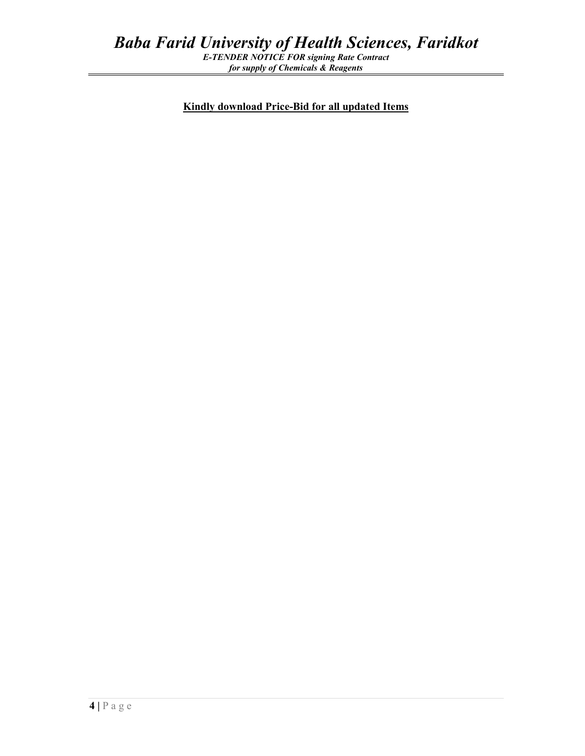*for supply of Chemicals & Reagents* 

**Kindly download Price-Bid for all updated Items**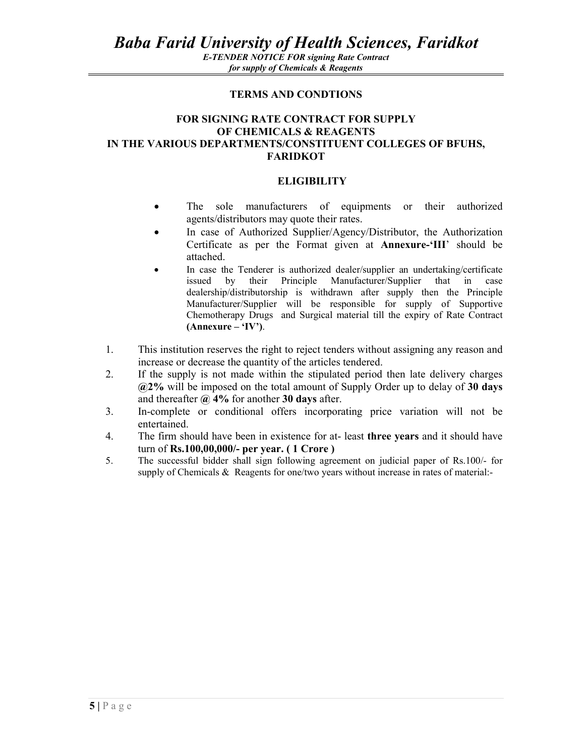*E-TENDER NOTICE FOR signing Rate Contract for supply of Chemicals & Reagents* 

#### **TERMS AND CONDTIONS**

#### **FOR SIGNING RATE CONTRACT FOR SUPPLY OF CHEMICALS & REAGENTS IN THE VARIOUS DEPARTMENTS/CONSTITUENT COLLEGES OF BFUHS, FARIDKOT**

#### **ELIGIBILITY**

- The sole manufacturers of equipments or their authorized agents/distributors may quote their rates.
- In case of Authorized Supplier/Agency/Distributor, the Authorization Certificate as per the Format given at **Annexure-'III**' should be attached.
- In case the Tenderer is authorized dealer/supplier an undertaking/certificate issued by their Principle Manufacturer/Supplier that in case dealership/distributorship is withdrawn after supply then the Principle Manufacturer/Supplier will be responsible for supply of Supportive Chemotherapy Drugs and Surgical material till the expiry of Rate Contract **(Annexure – 'IV')**.
- 1. This institution reserves the right to reject tenders without assigning any reason and increase or decrease the quantity of the articles tendered.
- 2. If the supply is not made within the stipulated period then late delivery charges **@2%** will be imposed on the total amount of Supply Order up to delay of **30 days** and thereafter **@ 4%** for another **30 days** after.
- 3. In-complete or conditional offers incorporating price variation will not be entertained.
- 4. The firm should have been in existence for at- least **three years** and it should have turn of **Rs.100,00,000/- per year. ( 1 Crore )**
- 5. The successful bidder shall sign following agreement on judicial paper of Rs.100/- for supply of Chemicals & Reagents for one/two years without increase in rates of material:-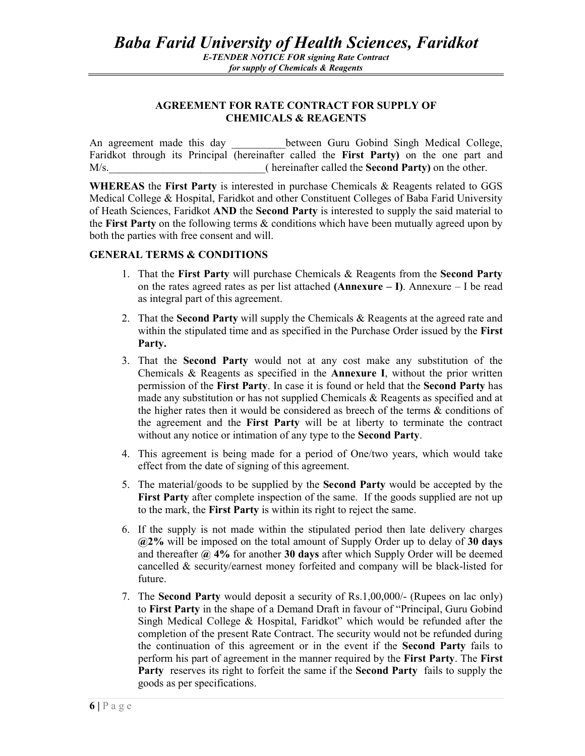## **AGREEMENT FOR RATE CONTRACT FOR SUPPLY OF CHEMICALS & REAGENTS**

An agreement made this day between Guru Gobind Singh Medical College, Faridkot through its Principal (hereinafter called the **First Party)** on the one part and M/s. **M/s.** ( hereinafter called the **Second Party**) on the other.

**WHEREAS** the **First Party** is interested in purchase Chemicals & Reagents related to GGS Medical College & Hospital, Faridkot and other Constituent Colleges of Baba Farid University of Heath Sciences, Faridkot **AND** the **Second Party** is interested to supply the said material to the **First Party** on the following terms & conditions which have been mutually agreed upon by both the parties with free consent and will.

## **GENERAL TERMS & CONDITIONS**

- 1. That the **First Party** will purchase Chemicals & Reagents from the **Second Party** on the rates agreed rates as per list attached **(Annexure – I)**. Annexure – I be read as integral part of this agreement.
- 2. That the **Second Party** will supply the Chemicals & Reagents at the agreed rate and within the stipulated time and as specified in the Purchase Order issued by the **First Party.**
- 3. That the **Second Party** would not at any cost make any substitution of the Chemicals & Reagents as specified in the **Annexure I**, without the prior written permission of the **First Party**. In case it is found or held that the **Second Party** has made any substitution or has not supplied Chemicals & Reagents as specified and at the higher rates then it would be considered as breech of the terms & conditions of the agreement and the **First Party** will be at liberty to terminate the contract without any notice or intimation of any type to the **Second Party**.
- 4. This agreement is being made for a period of One/two years, which would take effect from the date of signing of this agreement.
- 5. The material/goods to be supplied by the **Second Party** would be accepted by the **First Party** after complete inspection of the same. If the goods supplied are not up to the mark, the **First Party** is within its right to reject the same.
- 6. If the supply is not made within the stipulated period then late delivery charges **@2%** will be imposed on the total amount of Supply Order up to delay of **30 days** and thereafter **@ 4%** for another **30 days** after which Supply Order will be deemed cancelled & security/earnest money forfeited and company will be black-listed for future.
- 7. The **Second Party** would deposit a security of Rs.1,00,000/- (Rupees on lac only) to **First Party** in the shape of a Demand Draft in favour of "Principal, Guru Gobind Singh Medical College & Hospital, Faridkot" which would be refunded after the completion of the present Rate Contract. The security would not be refunded during the continuation of this agreement or in the event if the **Second Party** fails to perform his part of agreement in the manner required by the **First Party**. The **First Party** reserves its right to forfeit the same if the **Second Party** fails to supply the goods as per specifications.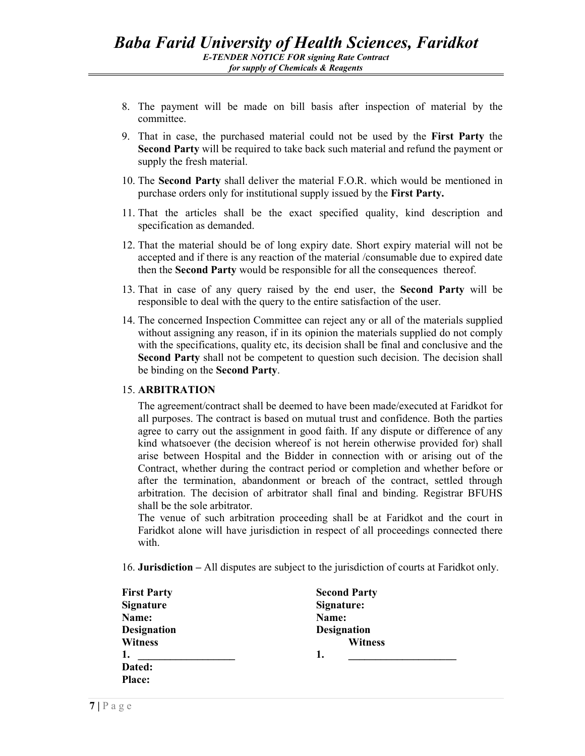- 8. The payment will be made on bill basis after inspection of material by the committee.
- 9. That in case, the purchased material could not be used by the **First Party** the **Second Party** will be required to take back such material and refund the payment or supply the fresh material.
- 10. The **Second Party** shall deliver the material F.O.R. which would be mentioned in purchase orders only for institutional supply issued by the **First Party.**
- 11. That the articles shall be the exact specified quality, kind description and specification as demanded.
- 12. That the material should be of long expiry date. Short expiry material will not be accepted and if there is any reaction of the material /consumable due to expired date then the **Second Party** would be responsible for all the consequences thereof.
- 13. That in case of any query raised by the end user, the **Second Party** will be responsible to deal with the query to the entire satisfaction of the user.
- 14. The concerned Inspection Committee can reject any or all of the materials supplied without assigning any reason, if in its opinion the materials supplied do not comply with the specifications, quality etc, its decision shall be final and conclusive and the **Second Party** shall not be competent to question such decision. The decision shall be binding on the **Second Party**.

#### 15. **ARBITRATION**

The agreement/contract shall be deemed to have been made/executed at Faridkot for all purposes. The contract is based on mutual trust and confidence. Both the parties agree to carry out the assignment in good faith. If any dispute or difference of any kind whatsoever (the decision whereof is not herein otherwise provided for) shall arise between Hospital and the Bidder in connection with or arising out of the Contract, whether during the contract period or completion and whether before or after the termination, abandonment or breach of the contract, settled through arbitration. The decision of arbitrator shall final and binding. Registrar BFUHS shall be the sole arbitrator.

The venue of such arbitration proceeding shall be at Faridkot and the court in Faridkot alone will have jurisdiction in respect of all proceedings connected there with.

16. **Jurisdiction –** All disputes are subject to the jurisdiction of courts at Faridkot only.

| <b>First Party</b> | <b>Second Party</b> |  |
|--------------------|---------------------|--|
| <b>Signature</b>   | Signature:          |  |
| Name:              | Name:               |  |
| <b>Designation</b> | <b>Designation</b>  |  |
| <b>Witness</b>     | <b>Witness</b>      |  |
| 1.                 | 1.                  |  |
| Dated:             |                     |  |
| <b>Place:</b>      |                     |  |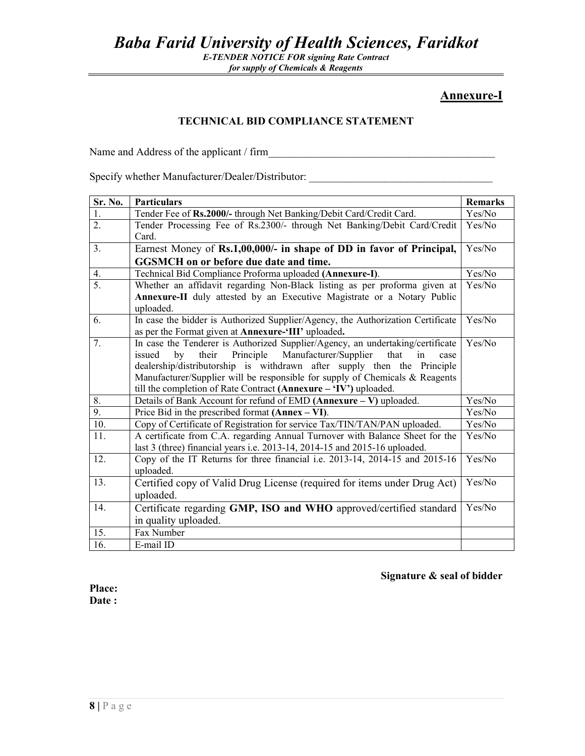*Baba Farid University of Health Sciences, Faridkot* 

*E-TENDER NOTICE FOR signing Rate Contract for supply of Chemicals & Reagents* 

## **Annexure-I**

## **TECHNICAL BID COMPLIANCE STATEMENT**

Name and Address of the applicant / firm\_\_\_\_\_\_\_\_\_\_\_\_\_\_\_\_\_\_\_\_\_\_\_\_\_\_\_\_\_\_\_\_\_\_\_\_\_\_\_\_\_\_

Specify whether Manufacturer/Dealer/Distributor: \_\_\_\_\_\_\_\_\_\_\_\_\_\_\_\_\_\_\_\_\_\_\_\_\_\_\_\_\_\_\_

| Sr. No.          | <b>Particulars</b>                                                                                                                                                                                                                                                                                                                                                                                 | <b>Remarks</b> |
|------------------|----------------------------------------------------------------------------------------------------------------------------------------------------------------------------------------------------------------------------------------------------------------------------------------------------------------------------------------------------------------------------------------------------|----------------|
| 1.               | Tender Fee of Rs.2000/- through Net Banking/Debit Card/Credit Card.                                                                                                                                                                                                                                                                                                                                | Yes/No         |
| $\overline{2}$ . | Tender Processing Fee of Rs.2300/- through Net Banking/Debit Card/Credit<br>Card.                                                                                                                                                                                                                                                                                                                  | Yes/No         |
| 3 <sub>1</sub>   | Earnest Money of Rs.1,00,000/- in shape of DD in favor of Principal,                                                                                                                                                                                                                                                                                                                               | Yes/No         |
|                  | <b>GGSMCH</b> on or before due date and time.                                                                                                                                                                                                                                                                                                                                                      |                |
| 4.               | Technical Bid Compliance Proforma uploaded (Annexure-I).                                                                                                                                                                                                                                                                                                                                           | Yes/No         |
| $\overline{5}$ . | Whether an affidavit regarding Non-Black listing as per proforma given at                                                                                                                                                                                                                                                                                                                          | Yes/No         |
|                  | Annexure-II duly attested by an Executive Magistrate or a Notary Public<br>uploaded.                                                                                                                                                                                                                                                                                                               |                |
| 6.               | In case the bidder is Authorized Supplier/Agency, the Authorization Certificate<br>as per the Format given at Annexure-'III' uploaded.                                                                                                                                                                                                                                                             | Yes/No         |
| 7.               | In case the Tenderer is Authorized Supplier/Agency, an undertaking/certificate<br>Principle<br>Manufacturer/Supplier<br>their<br>that<br>issued<br>by<br>in<br>case<br>dealership/distributorship is withdrawn after supply then the Principle<br>Manufacturer/Supplier will be responsible for supply of Chemicals & Reagents<br>till the completion of Rate Contract (Annexure - 'IV') uploaded. | Yes/No         |
| 8.               | Details of Bank Account for refund of EMD $(Annexure - V)$ uploaded.                                                                                                                                                                                                                                                                                                                               | Yes/No         |
| 9.               | Price Bid in the prescribed format $(Annex - VI)$ .                                                                                                                                                                                                                                                                                                                                                | Yes/No         |
| 10.              | Copy of Certificate of Registration for service Tax/TIN/TAN/PAN uploaded.                                                                                                                                                                                                                                                                                                                          | Yes/No         |
| 11.              | A certificate from C.A. regarding Annual Turnover with Balance Sheet for the<br>last 3 (three) financial years i.e. 2013-14, 2014-15 and 2015-16 uploaded.                                                                                                                                                                                                                                         | Yes/No         |
| 12.              | Copy of the IT Returns for three financial i.e. 2013-14, 2014-15 and 2015-16<br>uploaded.                                                                                                                                                                                                                                                                                                          | Yes/No         |
| 13.              | Certified copy of Valid Drug License (required for items under Drug Act)<br>uploaded.                                                                                                                                                                                                                                                                                                              | Yes/No         |
| 14.              | Certificate regarding GMP, ISO and WHO approved/certified standard<br>in quality uploaded.                                                                                                                                                                                                                                                                                                         | Yes/No         |
| 15.              | Fax Number                                                                                                                                                                                                                                                                                                                                                                                         |                |
| 16.              | E-mail ID                                                                                                                                                                                                                                                                                                                                                                                          |                |

#### **Signature & seal of bidder**

**Place: Date :**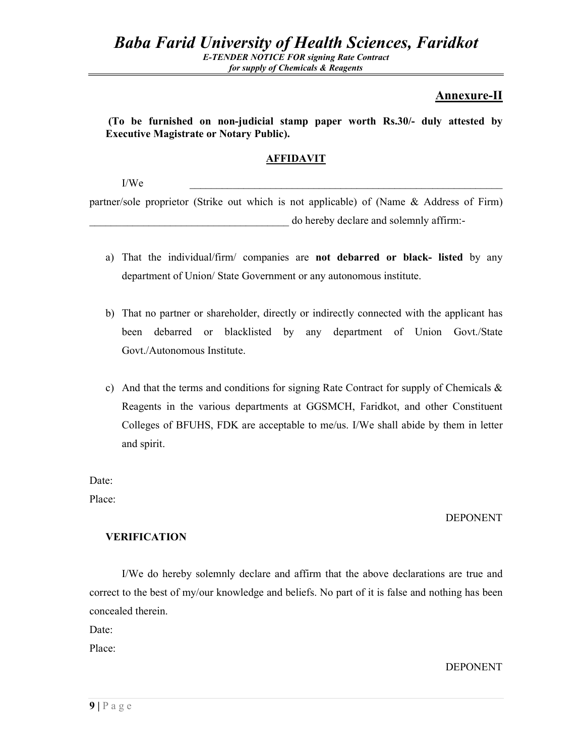## **Annexure-II**

 **(To be furnished on non-judicial stamp paper worth Rs.30/- duly attested by Executive Magistrate or Notary Public).** 

## **AFFIDAVIT**

 $I/We$ 

partner/sole proprietor (Strike out which is not applicable) of (Name & Address of Firm) do hereby declare and solemnly affirm:-

- a) That the individual/firm/ companies are **not debarred or black- listed** by any department of Union/ State Government or any autonomous institute.
- b) That no partner or shareholder, directly or indirectly connected with the applicant has been debarred or blacklisted by any department of Union Govt./State Govt./Autonomous Institute.
- c) And that the terms and conditions for signing Rate Contract for supply of Chemicals  $\&$ Reagents in the various departments at GGSMCH, Faridkot, and other Constituent Colleges of BFUHS, FDK are acceptable to me/us. I/We shall abide by them in letter and spirit.

Date:

Place:

## DEPONENT

## **VERIFICATION**

I/We do hereby solemnly declare and affirm that the above declarations are true and correct to the best of my/our knowledge and beliefs. No part of it is false and nothing has been concealed therein.

Date:

Place:

DEPONENT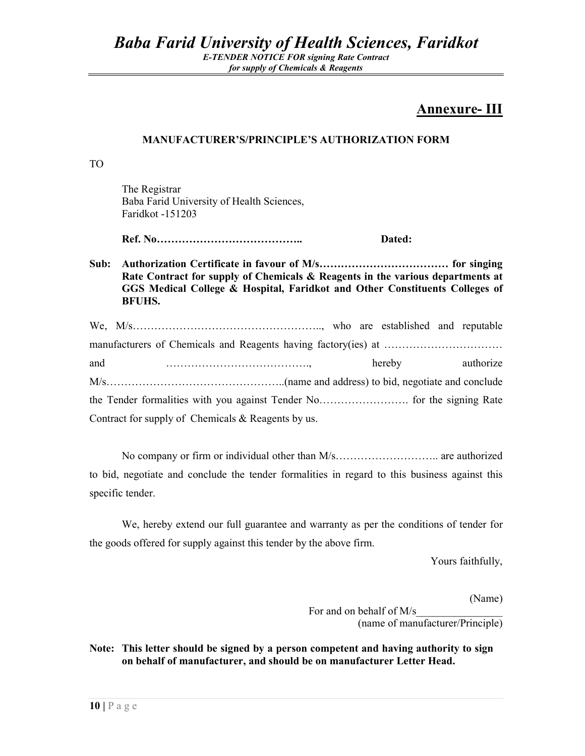## **Annexure- III**

## **MANUFACTURER'S/PRINCIPLE'S AUTHORIZATION FORM**

TO

 The Registrar Baba Farid University of Health Sciences, Faridkot -151203

 **Ref. No………………………………….. Dated:** 

**Sub: Authorization Certificate in favour of M/s……………………………… for singing Rate Contract for supply of Chemicals & Reagents in the various departments at GGS Medical College & Hospital, Faridkot and Other Constituents Colleges of BFUHS.** 

| and                                                  |  |  | hereby |  | authorize |
|------------------------------------------------------|--|--|--------|--|-----------|
|                                                      |  |  |        |  |           |
|                                                      |  |  |        |  |           |
| Contract for supply of Chemicals $&$ Reagents by us. |  |  |        |  |           |

No company or firm or individual other than M/s……………………….. are authorized to bid, negotiate and conclude the tender formalities in regard to this business against this specific tender.

 We, hereby extend our full guarantee and warranty as per the conditions of tender for the goods offered for supply against this tender by the above firm.

Yours faithfully,

(Name)

For and on behalf of M/s (name of manufacturer/Principle)

**Note: This letter should be signed by a person competent and having authority to sign on behalf of manufacturer, and should be on manufacturer Letter Head.**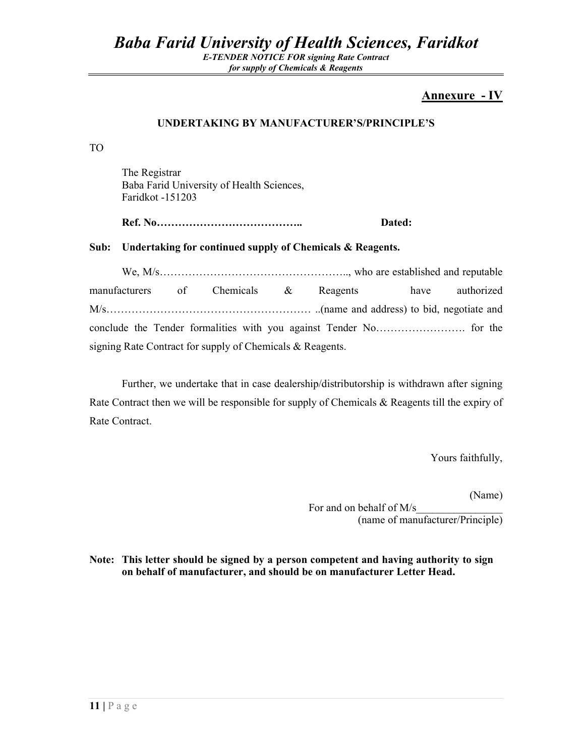## **Annexure - IV**

## **UNDERTAKING BY MANUFACTURER'S/PRINCIPLE'S**

TO

 The Registrar Baba Farid University of Health Sciences, Faridkot -151203

 **Ref. No………………………………….. Dated:** 

**Sub: Undertaking for continued supply of Chemicals & Reagents.** 

We, M/s…………………………………………….., who are established and reputable manufacturers of Chemicals & Reagents have authorized M/s………………………………………………… ..(name and address) to bid, negotiate and conclude the Tender formalities with you against Tender No……………………. for the signing Rate Contract for supply of Chemicals & Reagents.

Further, we undertake that in case dealership/distributorship is withdrawn after signing Rate Contract then we will be responsible for supply of Chemicals & Reagents till the expiry of Rate Contract.

Yours faithfully,

(Name)

For and on behalf of M/s (name of manufacturer/Principle)

## **Note: This letter should be signed by a person competent and having authority to sign on behalf of manufacturer, and should be on manufacturer Letter Head.**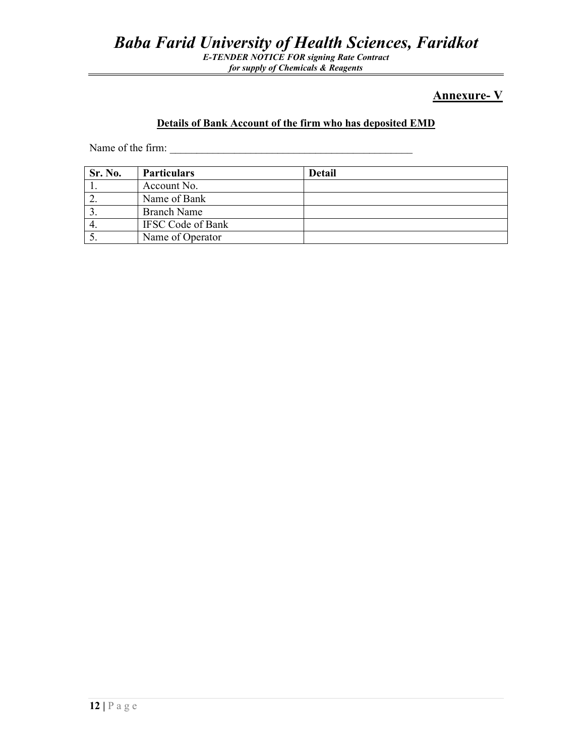## *Baba Farid University of Health Sciences, Faridkot*

*E-TENDER NOTICE FOR signing Rate Contract for supply of Chemicals & Reagents* 

## **Annexure- V**

## **Details of Bank Account of the firm who has deposited EMD**

Name of the firm:

| Sr. No. | <b>Particulars</b>       | <b>Detail</b> |
|---------|--------------------------|---------------|
|         | Account No.              |               |
|         | Name of Bank             |               |
|         | <b>Branch Name</b>       |               |
|         | <b>IFSC Code of Bank</b> |               |
|         | Name of Operator         |               |